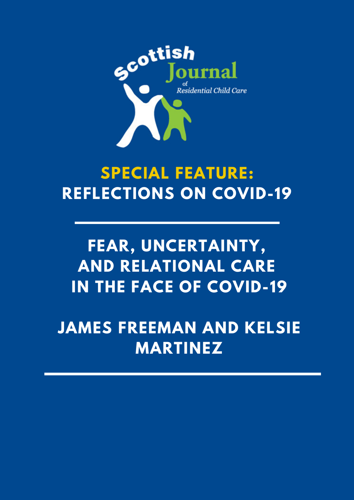

# **SPECIAL FEATURE: REFLECTIONS ON COVID-19**

# **FEAR, UNCERTAINTY, AND RELATIONAL CARE IN THE FACE OF COVID-19**

**JAMES FREEMAN AND KELSIE MARTINEZ**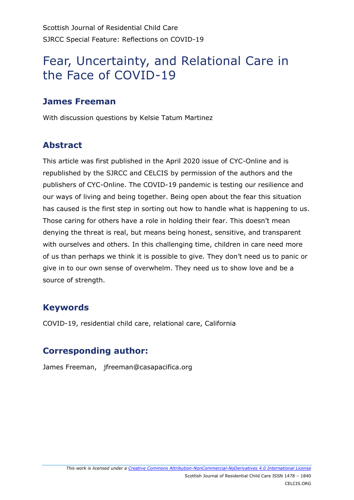# Fear, Uncertainty, and Relational Care in the Face of COVID-19

# **James Freeman**

With discussion questions by Kelsie Tatum Martinez

# **Abstract**

This article was first published in the April 2020 issue of CYC-Online and is republished by the SJRCC and CELCIS by permission of the authors and the publishers of CYC-Online. The COVID-19 pandemic is testing our resilience and our ways of living and being together. Being open about the fear this situation has caused is the first step in sorting out how to handle what is happening to us. Those caring for others have a role in holding their fear. This doesn't mean denying the threat is real, but means being honest, sensitive, and transparent with ourselves and others. In this challenging time, children in care need more of us than perhaps we think it is possible to give. They don't need us to panic or give in to our own sense of overwhelm. They need us to show love and be a source of strength.

# **Keywords**

COVID-19, residential child care, relational care, California

# **Corresponding author:**

James Freeman, jfreeman@casapacifica.org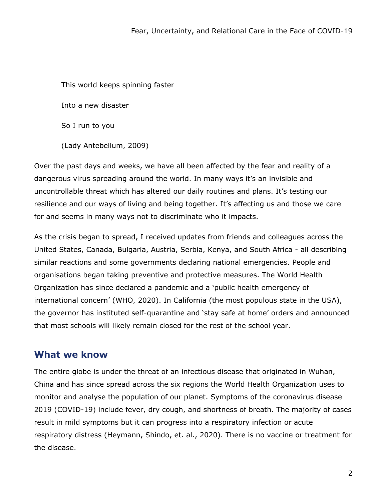This world keeps spinning faster Into a new disaster So I run to you (Lady Antebellum, 2009)

Over the past days and weeks, we have all been affected by the fear and reality of a dangerous virus spreading around the world. In many ways it's an invisible and uncontrollable threat which has altered our daily routines and plans. It's testing our resilience and our ways of living and being together. It's affecting us and those we care for and seems in many ways not to discriminate who it impacts.

As the crisis began to spread, I received updates from friends and colleagues across the United States, Canada, Bulgaria, Austria, Serbia, Kenya, and South Africa - all describing similar reactions and some governments declaring national emergencies. People and organisations began taking preventive and protective measures. The World Health Organization has since declared a pandemic and a 'public health emergency of international concern' (WHO, 2020). In California (the most populous state in the USA), the governor has instituted self-quarantine and 'stay safe at home' orders and announced that most schools will likely remain closed for the rest of the school year.

### **What we know**

The entire globe is under the threat of an infectious disease that originated in Wuhan, China and has since spread across the six regions the World Health Organization uses to monitor and analyse the population of our planet. Symptoms of the coronavirus disease 2019 (COVID-19) include fever, dry cough, and shortness of breath. The majority of cases result in mild symptoms but it can progress into a respiratory infection or acute respiratory distress (Heymann, Shindo, et. al., 2020). There is no vaccine or treatment for the disease.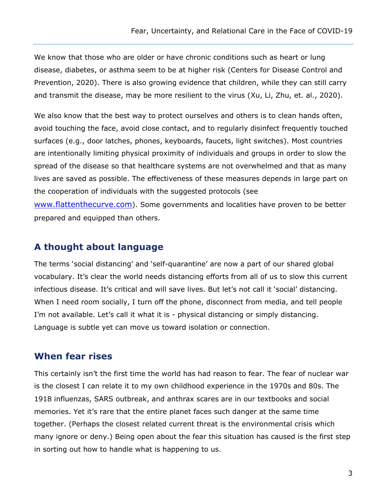We know that those who are older or have chronic conditions such as heart or lung disease, diabetes, or asthma seem to be at higher risk (Centers for Disease Control and Prevention, 2020). There is also growing evidence that children, while they can still carry and transmit the disease, may be more resilient to the virus (Xu, Li, Zhu, et. al., 2020).

We also know that the best way to protect ourselves and others is to clean hands often, avoid touching the face, avoid close contact, and to regularly disinfect frequently touched surfaces (e.g., door latches, phones, keyboards, faucets, light switches). Most countries are intentionally limiting physical proximity of individuals and groups in order to slow the spread of the disease so that healthcare systems are not overwhelmed and that as many lives are saved as possible. The effectiveness of these measures depends in large part on the cooperation of individuals with the suggested protocols (see

[www.flattenthecurve.com](http://www.flattenthecurve.com/)). Some governments and localities have proven to be better prepared and equipped than others.

#### **A thought about language**

The terms 'social distancing' and 'self-quarantine' are now a part of our shared global vocabulary. It's clear the world needs distancing efforts from all of us to slow this current infectious disease. It's critical and will save lives. But let's not call it 'social' distancing. When I need room socially, I turn off the phone, disconnect from media, and tell people I'm not available. Let's call it what it is - physical distancing or simply distancing. Language is subtle yet can move us toward isolation or connection.

#### **When fear rises**

This certainly isn't the first time the world has had reason to fear. The fear of nuclear war is the closest I can relate it to my own childhood experience in the 1970s and 80s. The 1918 influenzas, SARS outbreak, and anthrax scares are in our textbooks and social memories. Yet it's rare that the entire planet faces such danger at the same time together. (Perhaps the closest related current threat is the environmental crisis which many ignore or deny.) Being open about the fear this situation has caused is the first step in sorting out how to handle what is happening to us.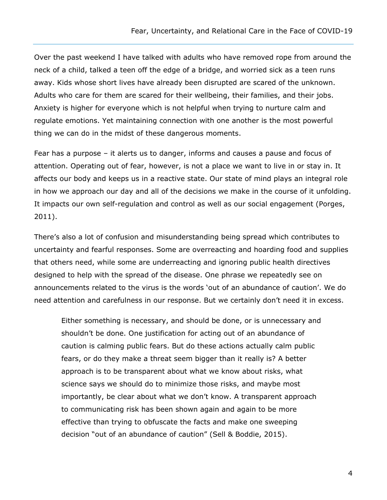Over the past weekend I have talked with adults who have removed rope from around the neck of a child, talked a teen off the edge of a bridge, and worried sick as a teen runs away. Kids whose short lives have already been disrupted are scared of the unknown. Adults who care for them are scared for their wellbeing, their families, and their jobs. Anxiety is higher for everyone which is not helpful when trying to nurture calm and regulate emotions. Yet maintaining connection with one another is the most powerful thing we can do in the midst of these dangerous moments.

Fear has a purpose – it alerts us to danger, informs and causes a pause and focus of attention. Operating out of fear, however, is not a place we want to live in or stay in. It affects our body and keeps us in a reactive state. Our state of mind plays an integral role in how we approach our day and all of the decisions we make in the course of it unfolding. It impacts our own self-regulation and control as well as our social engagement (Porges, 2011).

There's also a lot of confusion and misunderstanding being spread which contributes to uncertainty and fearful responses. Some are overreacting and hoarding food and supplies that others need, while some are underreacting and ignoring public health directives designed to help with the spread of the disease. One phrase we repeatedly see on announcements related to the virus is the words 'out of an abundance of caution'. We do need attention and carefulness in our response. But we certainly don't need it in excess.

Either something is necessary, and should be done, or is unnecessary and shouldn't be done. One justification for acting out of an abundance of caution is calming public fears. But do these actions actually calm public fears, or do they make a threat seem bigger than it really is? A better approach is to be transparent about what we know about risks, what science says we should do to minimize those risks, and maybe most importantly, be clear about what we don't know. A transparent approach to communicating risk has been shown again and again to be more effective than trying to obfuscate the facts and make one sweeping decision "out of an abundance of caution" (Sell & Boddie, 2015).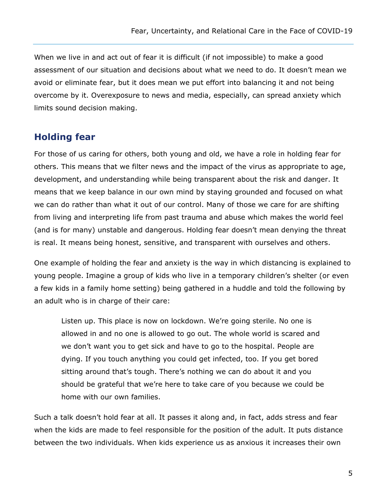When we live in and act out of fear it is difficult (if not impossible) to make a good assessment of our situation and decisions about what we need to do. It doesn't mean we avoid or eliminate fear, but it does mean we put effort into balancing it and not being overcome by it. Overexposure to news and media, especially, can spread anxiety which limits sound decision making.

#### **Holding fear**

For those of us caring for others, both young and old, we have a role in holding fear for others. This means that we filter news and the impact of the virus as appropriate to age, development, and understanding while being transparent about the risk and danger. It means that we keep balance in our own mind by staying grounded and focused on what we can do rather than what it out of our control. Many of those we care for are shifting from living and interpreting life from past trauma and abuse which makes the world feel (and is for many) unstable and dangerous. Holding fear doesn't mean denying the threat is real. It means being honest, sensitive, and transparent with ourselves and others.

One example of holding the fear and anxiety is the way in which distancing is explained to young people. Imagine a group of kids who live in a temporary children's shelter (or even a few kids in a family home setting) being gathered in a huddle and told the following by an adult who is in charge of their care:

Listen up. This place is now on lockdown. We're going sterile. No one is allowed in and no one is allowed to go out. The whole world is scared and we don't want you to get sick and have to go to the hospital. People are dying. If you touch anything you could get infected, too. If you get bored sitting around that's tough. There's nothing we can do about it and you should be grateful that we're here to take care of you because we could be home with our own families.

Such a talk doesn't hold fear at all. It passes it along and, in fact, adds stress and fear when the kids are made to feel responsible for the position of the adult. It puts distance between the two individuals. When kids experience us as anxious it increases their own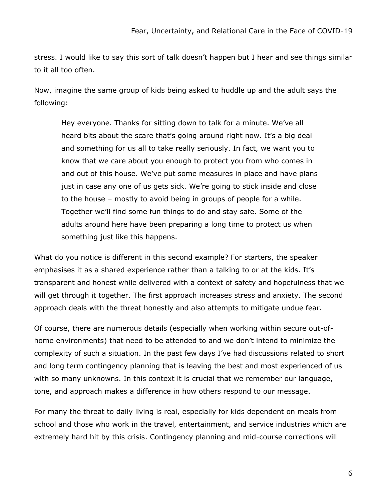stress. I would like to say this sort of talk doesn't happen but I hear and see things similar to it all too often.

Now, imagine the same group of kids being asked to huddle up and the adult says the following:

Hey everyone. Thanks for sitting down to talk for a minute. We've all heard bits about the scare that's going around right now. It's a big deal and something for us all to take really seriously. In fact, we want you to know that we care about you enough to protect you from who comes in and out of this house. We've put some measures in place and have plans just in case any one of us gets sick. We're going to stick inside and close to the house – mostly to avoid being in groups of people for a while. Together we'll find some fun things to do and stay safe. Some of the adults around here have been preparing a long time to protect us when something just like this happens.

What do you notice is different in this second example? For starters, the speaker emphasises it as a shared experience rather than a talking to or at the kids. It's transparent and honest while delivered with a context of safety and hopefulness that we will get through it together. The first approach increases stress and anxiety. The second approach deals with the threat honestly and also attempts to mitigate undue fear.

Of course, there are numerous details (especially when working within secure out-ofhome environments) that need to be attended to and we don't intend to minimize the complexity of such a situation. In the past few days I've had discussions related to short and long term contingency planning that is leaving the best and most experienced of us with so many unknowns. In this context it is crucial that we remember our language, tone, and approach makes a difference in how others respond to our message.

For many the threat to daily living is real, especially for kids dependent on meals from school and those who work in the travel, entertainment, and service industries which are extremely hard hit by this crisis. Contingency planning and mid-course corrections will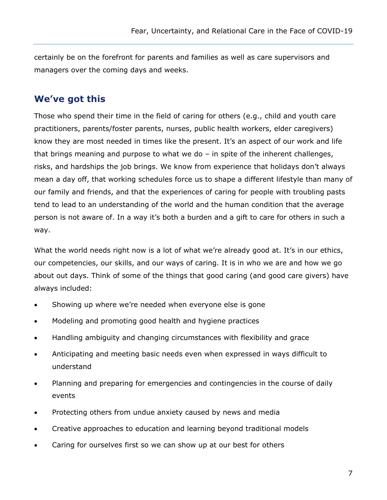certainly be on the forefront for parents and families as well as care supervisors and managers over the coming days and weeks.

#### **We've got this**

Those who spend their time in the field of caring for others (e.g., child and youth care practitioners, parents/foster parents, nurses, public health workers, elder caregivers) know they are most needed in times like the present. It's an aspect of our work and life that brings meaning and purpose to what we do  $-$  in spite of the inherent challenges, risks, and hardships the job brings. We know from experience that holidays don't always mean a day off, that working schedules force us to shape a different lifestyle than many of our family and friends, and that the experiences of caring for people with troubling pasts tend to lead to an understanding of the world and the human condition that the average person is not aware of. In a way it's both a burden and a gift to care for others in such a way.

What the world needs right now is a lot of what we're already good at. It's in our ethics, our competencies, our skills, and our ways of caring. It is in who we are and how we go about out days. Think of some of the things that good caring (and good care givers) have always included:

- Showing up where we're needed when everyone else is gone
- Modeling and promoting good health and hygiene practices
- Handling ambiguity and changing circumstances with flexibility and grace
- Anticipating and meeting basic needs even when expressed in ways difficult to understand
- Planning and preparing for emergencies and contingencies in the course of daily events
- Protecting others from undue anxiety caused by news and media
- Creative approaches to education and learning beyond traditional models
- Caring for ourselves first so we can show up at our best for others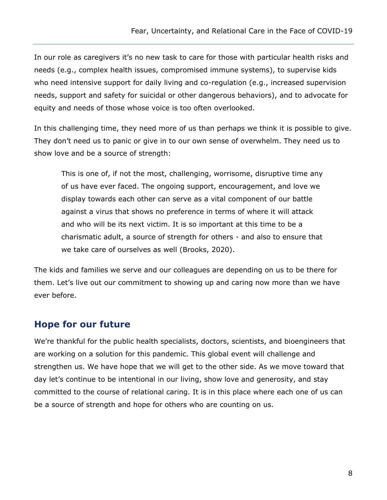In our role as caregivers it's no new task to care for those with particular health risks and needs (e.g., complex health issues, compromised immune systems), to supervise kids who need intensive support for daily living and co-regulation (e.g., increased supervision needs, support and safety for suicidal or other dangerous behaviors), and to advocate for equity and needs of those whose voice is too often overlooked.

In this challenging time, they need more of us than perhaps we think it is possible to give. They don't need us to panic or give in to our own sense of overwhelm. They need us to show love and be a source of strength:

This is one of, if not the most, challenging, worrisome, disruptive time any of us have ever faced. The ongoing support, encouragement, and love we display towards each other can serve as a vital component of our battle against a virus that shows no preference in terms of where it will attack and who will be its next victim. It is so important at this time to be a charismatic adult, a source of strength for others - and also to ensure that we take care of ourselves as well (Brooks, 2020).

The kids and families we serve and our colleagues are depending on us to be there for them. Let's live out our commitment to showing up and caring now more than we have ever before.

#### **Hope for our future**

We're thankful for the public health specialists, doctors, scientists, and bioengineers that are working on a solution for this pandemic. This global event will challenge and strengthen us. We have hope that we will get to the other side. As we move toward that day let's continue to be intentional in our living, show love and generosity, and stay committed to the course of relational caring. It is in this place where each one of us can be a source of strength and hope for others who are counting on us.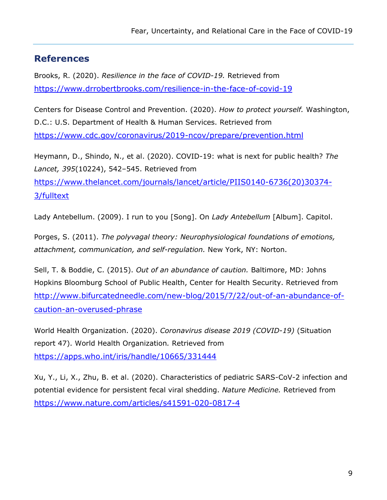# **References**

Brooks, R. (2020). *Resilience in the face of COVID-19.* Retrieved from <https://www.drrobertbrooks.com/resilience-in-the-face-of-covid-19>

Centers for Disease Control and Prevention. (2020). *How to protect yourself.* Washington, D.C.: U.S. Department of Health & Human Services. Retrieved from <https://www.cdc.gov/coronavirus/2019-ncov/prepare/prevention.html>

Heymann, D., Shindo, N., et al. (2020). COVID-19: what is next for public health? *The Lancet, 395*(10224), 542–545. Retrieved from [https://www.thelancet.com/journals/lancet/article/PIIS0140-6736\(20\)30374-](https://www.thelancet.com/journals/lancet/article/PIIS0140-6736(20)30374-3/fulltext) [3/fulltext](https://www.thelancet.com/journals/lancet/article/PIIS0140-6736(20)30374-3/fulltext)

Lady Antebellum. (2009). I run to you [Song]. On *Lady Antebellum* [Album]. Capitol.

Porges, S. (2011). *The polyvagal theory: Neurophysiological foundations of emotions, attachment, communication, and self-regulation.* New York, NY: Norton.

Sell, T. & Boddie, C. (2015). *Out of an abundance of caution.* Baltimore, MD: Johns Hopkins Bloomburg School of Public Health, Center for Health Security. Retrieved from [http://www.bifurcatedneedle.com/new-blog/2015/7/22/out-of-an-abundance-of](http://www.bifurcatedneedle.com/new-blog/2015/7/22/out-of-an-abundance-of-caution-an-overused-phrase)[caution-an-overused-phrase](http://www.bifurcatedneedle.com/new-blog/2015/7/22/out-of-an-abundance-of-caution-an-overused-phrase)

World Health Organization. (2020). *Coronavirus disease 2019 (COVID-19)* (Situation report 47). World Health Organization*.* Retrieved from <https://apps.who.int/iris/handle/10665/331444>

Xu, Y., Li, X., Zhu, B. et al. (2020). Characteristics of pediatric SARS-CoV-2 infection and potential evidence for persistent fecal viral shedding. *Nature Medicine.* Retrieved from <https://www.nature.com/articles/s41591-020-0817-4>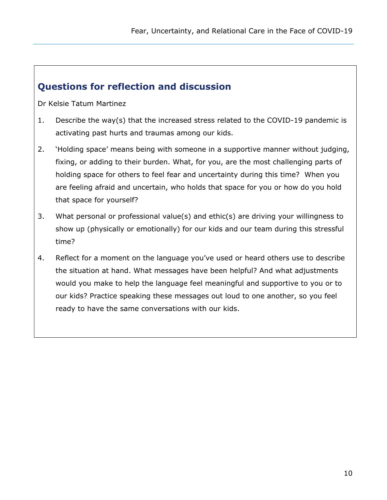# **Questions for reflection and discussion**

Dr Kelsie Tatum Martinez

- 1. Describe the way(s) that the increased stress related to the COVID-19 pandemic is activating past hurts and traumas among our kids.
- 2. 'Holding space' means being with someone in a supportive manner without judging, fixing, or adding to their burden. What, for you, are the most challenging parts of holding space for others to feel fear and uncertainty during this time? When you are feeling afraid and uncertain, who holds that space for you or how do you hold that space for yourself?
- 3. What personal or professional value(s) and ethic(s) are driving your willingness to show up (physically or emotionally) for our kids and our team during this stressful time?
- 4. Reflect for a moment on the language you've used or heard others use to describe the situation at hand. What messages have been helpful? And what adjustments would you make to help the language feel meaningful and supportive to you or to our kids? Practice speaking these messages out loud to one another, so you feel ready to have the same conversations with our kids.